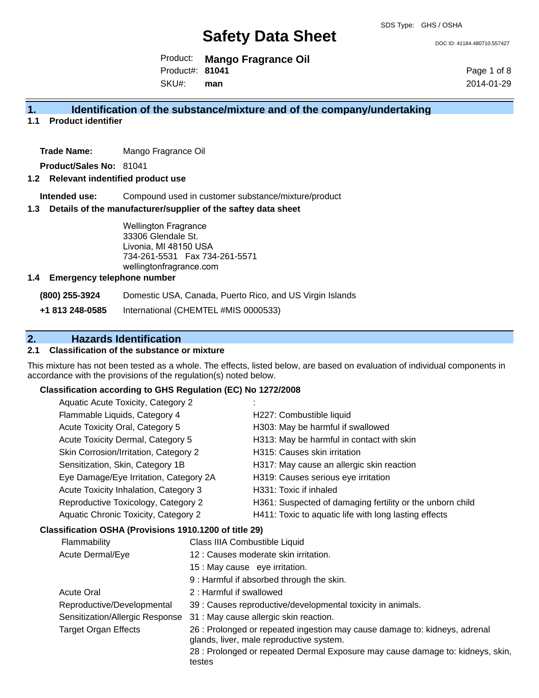DOC ID: 41184.480710.557427

Product: **Mango Fragrance Oil** Product#: **81041**

SKU#: **man** Page 1 of 8 2014-01-29

#### **1. Identification of the substance/mixture and of the company/undertaking**

**1.1 Product identifier**

**Trade Name:** Mango Fragrance Oil

**Product/Sales No:** 81041

#### **1.2 Relevant indentified product use**

**Intended use:** Compound used in customer substance/mixture/product

#### **1.3 Details of the manufacturer/supplier of the saftey data sheet**

Wellington Fragrance 33306 Glendale St. Livonia, MI 48150 USA 734-261-5531 Fax 734-261-5571 wellingtonfragrance.com

#### **1.4 Emergency telephone number**

**(800) 255-3924** Domestic USA, Canada, Puerto Rico, and US Virgin Islands

**+1 813 248-0585** International (CHEMTEL #MIS 0000533)

#### **2. Hazards Identification**

#### **2.1 Classification of the substance or mixture**

This mixture has not been tested as a whole. The effects, listed below, are based on evaluation of individual components in accordance with the provisions of the regulation(s) noted below.

#### **Classification according to GHS Regulation (EC) No 1272/2008**

| Aquatic Acute Toxicity, Category 2     |                                                           |
|----------------------------------------|-----------------------------------------------------------|
| Flammable Liquids, Category 4          | H227: Combustible liquid                                  |
| Acute Toxicity Oral, Category 5        | H303: May be harmful if swallowed                         |
| Acute Toxicity Dermal, Category 5      | H313: May be harmful in contact with skin                 |
| Skin Corrosion/Irritation, Category 2  | H315: Causes skin irritation                              |
| Sensitization, Skin, Category 1B       | H317: May cause an allergic skin reaction                 |
| Eye Damage/Eye Irritation, Category 2A | H319: Causes serious eye irritation                       |
| Acute Toxicity Inhalation, Category 3  | H331: Toxic if inhaled                                    |
| Reproductive Toxicology, Category 2    | H361: Suspected of damaging fertility or the unborn child |
| Aquatic Chronic Toxicity, Category 2   | H411: Toxic to aquatic life with long lasting effects     |
|                                        |                                                           |

#### **Classification OSHA (Provisions 1910.1200 of title 29)**

|                         | <b>Flammability</b>             | Class IIIA Combustible Liquid                                                                                          |
|-------------------------|---------------------------------|------------------------------------------------------------------------------------------------------------------------|
| <b>Acute Dermal/Eye</b> |                                 | 12 : Causes moderate skin irritation.                                                                                  |
|                         |                                 | 15 : May cause eye irritation.                                                                                         |
|                         |                                 | 9 : Harmful if absorbed through the skin.                                                                              |
|                         | <b>Acute Oral</b>               | 2 : Harmful if swallowed                                                                                               |
|                         | Reproductive/Developmental      | 39 : Causes reproductive/developmental toxicity in animals.                                                            |
|                         | Sensitization/Allergic Response | 31 : May cause allergic skin reaction.                                                                                 |
|                         | <b>Target Organ Effects</b>     | 26 : Prolonged or repeated ingestion may cause damage to: kidneys, adrenal<br>glands, liver, male reproductive system. |
|                         |                                 | 28 : Prolonged or repeated Dermal Exposure may cause damage to: kidneys, skin,<br>testes                               |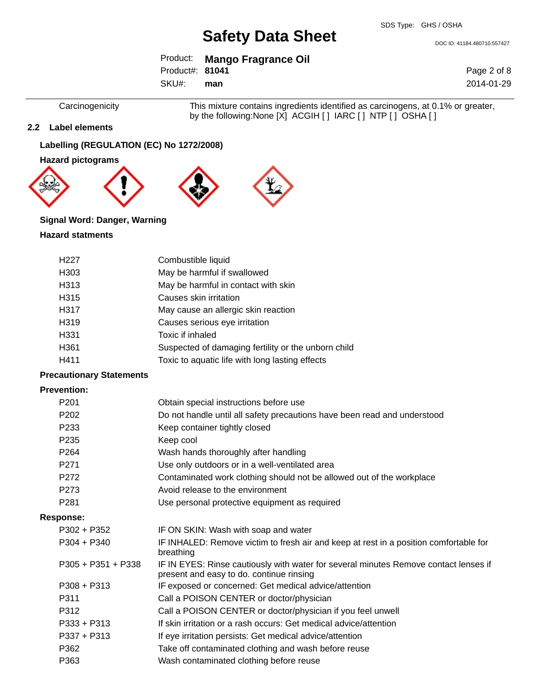DOC ID: 41184.480710.557427

|                 | Product: Mango Fragrance Oil |
|-----------------|------------------------------|
| Product#: 81041 |                              |
| SKU#: man       |                              |

Page 2 of 8 2014-01-29

Carcinogenicity This mixture contains ingredients identified as carcinogens, at 0.1% or greater, by the following:None [X] ACGIH [ ] IARC [ ] NTP [ ] OSHA [ ]

#### **2.2 Label elements**

#### **Labelling (REGULATION (EC) No 1272/2008)**

**Hazard pictograms**









#### **Signal Word: Danger, Warning**

#### **Hazard statments**

| H <sub>227</sub> | Combustible liquid                                  |
|------------------|-----------------------------------------------------|
| H <sub>303</sub> | May be harmful if swallowed                         |
| H313             | May be harmful in contact with skin                 |
| H315             | Causes skin irritation                              |
| H317             | May cause an allergic skin reaction                 |
| H319             | Causes serious eye irritation                       |
| H331             | Toxic if inhaled                                    |
| H361             | Suspected of damaging fertility or the unborn child |
| H411             | Toxic to aquatic life with long lasting effects     |

#### **Precautionary Statements**

#### **Prevention:**

| P <sub>201</sub>     | Obtain special instructions before use                                                                                           |
|----------------------|----------------------------------------------------------------------------------------------------------------------------------|
| P <sub>202</sub>     | Do not handle until all safety precautions have been read and understood                                                         |
| P <sub>233</sub>     | Keep container tightly closed                                                                                                    |
| P <sub>235</sub>     | Keep cool                                                                                                                        |
| P <sub>264</sub>     | Wash hands thoroughly after handling                                                                                             |
| P <sub>271</sub>     | Use only outdoors or in a well-ventilated area                                                                                   |
| P <sub>272</sub>     | Contaminated work clothing should not be allowed out of the workplace                                                            |
| P <sub>273</sub>     | Avoid release to the environment                                                                                                 |
| P <sub>281</sub>     | Use personal protective equipment as required                                                                                    |
| <b>Response:</b>     |                                                                                                                                  |
| P302 + P352          | IF ON SKIN: Wash with soap and water                                                                                             |
| $P304 + P340$        | IF INHALED: Remove victim to fresh air and keep at rest in a position comfortable for<br>breathing                               |
| $P305 + P351 + P338$ | IF IN EYES: Rinse cautiously with water for several minutes Remove contact lenses if<br>present and easy to do. continue rinsing |
| $P308 + P313$        | IF exposed or concerned: Get medical advice/attention                                                                            |
| P311                 | Call a POISON CENTER or doctor/physician                                                                                         |
| P312                 | Call a POISON CENTER or doctor/physician if you feel unwell                                                                      |
| $P333 + P313$        | If skin irritation or a rash occurs: Get medical advice/attention                                                                |
| $P337 + P313$        | If eye irritation persists: Get medical advice/attention                                                                         |
| P362                 | Take off contaminated clothing and wash before reuse                                                                             |
| P363                 | Wash contaminated clothing before reuse                                                                                          |
|                      |                                                                                                                                  |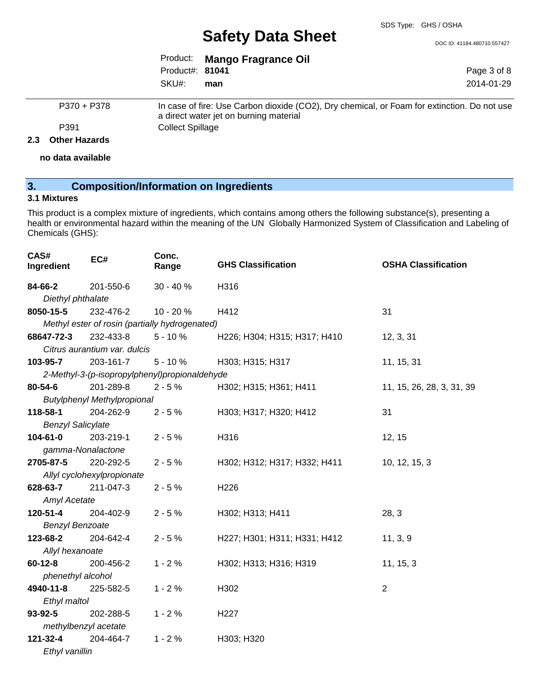DOC ID: 41184.480710.557427

Page 3 of 8 2014-01-29

|                 | Product: Mango Fragrance Oil |
|-----------------|------------------------------|
| Product#: 81041 |                              |
| SKU#: man       |                              |

P370 + P378 In case of fire: Use Carbon dioxide (CO2), Dry chemical, or Foam for extinction. Do not use a direct water jet on burning material P391 Collect Spillage

#### **2.3 Other Hazards**

**no data available**

#### **3. Composition/Information on Ingredients**

#### **3.1 Mixtures**

This product is a complex mixture of ingredients, which contains among others the following substance(s), presenting a health or environmental hazard within the meaning of the UN Globally Harmonized System of Classification and Labeling of Chemicals (GHS):

| CAS#<br>Ingredient       | EC#                                | Conc.<br>Range                                 | <b>GHS Classification</b>    | <b>OSHA Classification</b> |
|--------------------------|------------------------------------|------------------------------------------------|------------------------------|----------------------------|
| 84-66-2                  | 201-550-6                          | 30 - 40 %                                      | H316                         |                            |
| Diethyl phthalate        |                                    |                                                |                              |                            |
| 8050-15-5                | 232-476-2                          | 10 - 20 %                                      | H412                         | 31                         |
|                          |                                    | Methyl ester of rosin (partially hydrogenated) |                              |                            |
| 68647-72-3               | 232-433-8                          | $5 - 10%$                                      | H226; H304; H315; H317; H410 | 12, 3, 31                  |
|                          | Citrus aurantium var. dulcis       |                                                |                              |                            |
| 103-95-7                 | 203-161-7                          | $5 - 10%$                                      | H303; H315; H317             | 11, 15, 31                 |
|                          |                                    | 2-Methyl-3-(p-isopropylphenyl)propionaldehyde  |                              |                            |
| 80-54-6                  | 201-289-8                          | $2 - 5%$                                       | H302; H315; H361; H411       | 11, 15, 26, 28, 3, 31, 39  |
|                          | <b>Butylphenyl Methylpropional</b> |                                                |                              |                            |
| 118-58-1                 | 204-262-9                          | $2 - 5%$                                       | H303; H317; H320; H412       | 31                         |
| <b>Benzyl Salicylate</b> |                                    |                                                |                              |                            |
| 104-61-0                 | 203-219-1                          | $2 - 5%$                                       | H316                         | 12, 15                     |
| gamma-Nonalactone        |                                    |                                                |                              |                            |
| 2705-87-5                | 220-292-5                          | $2 - 5%$                                       | H302; H312; H317; H332; H411 | 10, 12, 15, 3              |
|                          | Allyl cyclohexylpropionate         |                                                |                              |                            |
| 628-63-7                 | 211-047-3                          | $2 - 5%$                                       | H226                         |                            |
| Amyl Acetate             |                                    |                                                |                              |                            |
| 120-51-4                 | 204-402-9                          | $2 - 5%$                                       | H302; H313; H411             | 28, 3                      |
| <b>Benzyl Benzoate</b>   |                                    |                                                |                              |                            |
| 123-68-2                 | 204-642-4                          | $2 - 5%$                                       | H227; H301; H311; H331; H412 | 11, 3, 9                   |
| Allyl hexanoate          |                                    |                                                |                              |                            |
| $60 - 12 - 8$            | 200-456-2                          | $1 - 2%$                                       | H302; H313; H316; H319       | 11, 15, 3                  |
| phenethyl alcohol        |                                    |                                                |                              |                            |
| 4940-11-8                | 225-582-5                          | $1 - 2%$                                       | H302                         | $\overline{2}$             |
| Ethyl maltol             |                                    |                                                |                              |                            |
| $93 - 92 - 5$            | 202-288-5                          | $1 - 2%$                                       | H <sub>227</sub>             |                            |
| methylbenzyl acetate     |                                    |                                                |                              |                            |
| 121-32-4                 | 204-464-7                          | $1 - 2%$                                       | H303; H320                   |                            |
| Ethyl vanillin           |                                    |                                                |                              |                            |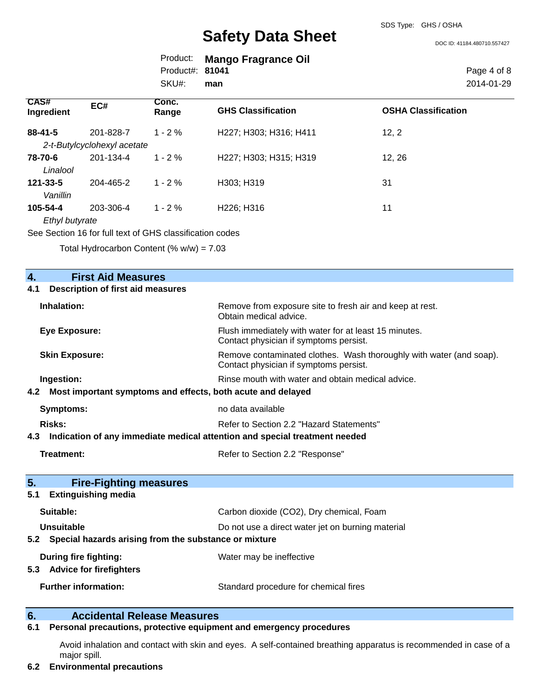SDS Type: GHS / OSHA

DOC ID: 41184.480710.557427

|                 | Product: Mango Fragrance Oil |
|-----------------|------------------------------|
| Product#: 81041 |                              |
| SKU#:           | man                          |

Page 4 of 8 2014-01-29

| <b>CAS#</b><br>Ingredient | EC#                                                     | Conc.<br>Range | <b>GHS Classification</b> | <b>OSHA Classification</b> |
|---------------------------|---------------------------------------------------------|----------------|---------------------------|----------------------------|
| 88-41-5                   | 201-828-7                                               | $1 - 2%$       | H227; H303; H316; H411    | 12, 2                      |
|                           | 2-t-Butylcyclohexyl acetate                             |                |                           |                            |
| 78-70-6                   | 201-134-4                                               | $1 - 2 \%$     | H227; H303; H315; H319    | 12, 26                     |
| Linalool                  |                                                         |                |                           |                            |
| $121 - 33 - 5$            | 204-465-2                                               | $1 - 2 \%$     | H303; H319                | 31                         |
| Vanillin                  |                                                         |                |                           |                            |
| 105-54-4                  | 203-306-4                                               | $1 - 2\%$      | H226; H316                | 11                         |
| Ethyl butyrate            |                                                         |                |                           |                            |
|                           | See Section 16 for full toy of CHS closeification codes |                |                           |                            |

Section 16 for full text of GHS classification codes

Total Hydrocarbon Content (%  $w/w$ ) = 7.03

| 4.                                              | <b>First Aid Measures</b>                                                  |                                                                                                               |
|-------------------------------------------------|----------------------------------------------------------------------------|---------------------------------------------------------------------------------------------------------------|
| <b>Description of first aid measures</b><br>4.1 |                                                                            |                                                                                                               |
|                                                 | Inhalation:                                                                | Remove from exposure site to fresh air and keep at rest.<br>Obtain medical advice.                            |
|                                                 | <b>Eye Exposure:</b>                                                       | Flush immediately with water for at least 15 minutes.<br>Contact physician if symptoms persist.               |
|                                                 | <b>Skin Exposure:</b>                                                      | Remove contaminated clothes. Wash thoroughly with water (and soap).<br>Contact physician if symptoms persist. |
|                                                 | Ingestion:                                                                 | Rinse mouth with water and obtain medical advice.                                                             |
| 4.2                                             | Most important symptoms and effects, both acute and delayed                |                                                                                                               |
|                                                 | <b>Symptoms:</b>                                                           | no data available                                                                                             |
|                                                 | Risks:                                                                     | Refer to Section 2.2 "Hazard Statements"                                                                      |
| 4.3                                             | Indication of any immediate medical attention and special treatment needed |                                                                                                               |
|                                                 | Treatment:                                                                 | Refer to Section 2.2 "Response"                                                                               |
| 5.                                              | <b>Fire-Fighting measures</b>                                              |                                                                                                               |
| 5.1                                             | <b>Extinguishing media</b>                                                 |                                                                                                               |
|                                                 | Suitable:                                                                  | Carbon dioxide (CO2), Dry chemical, Foam                                                                      |
|                                                 | Unsuitable                                                                 | Do not use a direct water jet on burning material                                                             |
|                                                 | 5.2 Special hazards arising from the substance or mixture                  |                                                                                                               |
| 5.3                                             | <b>During fire fighting:</b><br><b>Advice for firefighters</b>             | Water may be ineffective                                                                                      |
|                                                 | <b>Further information:</b>                                                | Standard procedure for chemical fires                                                                         |

#### **6. Accidental Release Measures**

#### **6.1 Personal precautions, protective equipment and emergency procedures**

Avoid inhalation and contact with skin and eyes. A self-contained breathing apparatus is recommended in case of a major spill.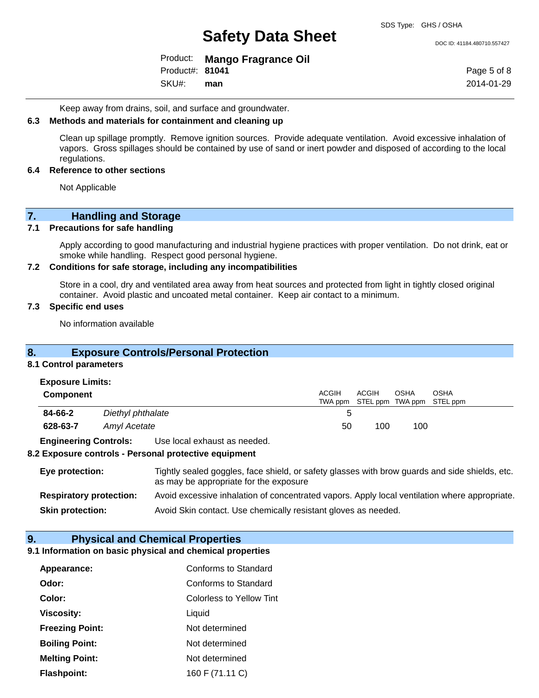DOC ID: 41184.480710.557427

|                 | Product: Mango Fragrance Oil |
|-----------------|------------------------------|
| Product#: 81041 |                              |
| SKU#: man       |                              |

Page 5 of 8 2014-01-29

Keep away from drains, soil, and surface and groundwater.

#### **6.3 Methods and materials for containment and cleaning up**

Clean up spillage promptly. Remove ignition sources. Provide adequate ventilation. Avoid excessive inhalation of vapors. Gross spillages should be contained by use of sand or inert powder and disposed of according to the local regulations.

#### **6.4 Reference to other sections**

Not Applicable

# **7.** Handling and Storage<br>**7.1** Precautions for safe handling

#### **Precautions for safe handling**

Apply according to good manufacturing and industrial hygiene practices with proper ventilation. Do not drink, eat or smoke while handling. Respect good personal hygiene.

#### **7.2 Conditions for safe storage, including any incompatibilities**

Store in a cool, dry and ventilated area away from heat sources and protected from light in tightly closed original container. Avoid plastic and uncoated metal container. Keep air contact to a minimum.

#### **7.3 Specific end uses**

No information available

#### **8. Exposure Controls/Personal Protection**

#### **8.1 Control parameters**

| <b>Exposure Limits:</b> |  |
|-------------------------|--|
|-------------------------|--|

| <b>Component</b> |                   | ACGIH | <b>ACGIH</b> | OSHA | OSHA<br>TWA ppm STEL ppm TWA ppm STEL ppm |
|------------------|-------------------|-------|--------------|------|-------------------------------------------|
| 84-66-2          | Diethyl phthalate |       |              |      |                                           |
| 628-63-7         | Amyl Acetate      | 50    | 100          | 100  |                                           |
| _ _              |                   |       |              |      |                                           |

**Engineering Controls:** Use local exhaust as needed.

#### **8.2 Exposure controls - Personal protective equipment**

| Eye protection:                | Tightly sealed goggles, face shield, or safety glasses with brow guards and side shields, etc.<br>as may be appropriate for the exposure |
|--------------------------------|------------------------------------------------------------------------------------------------------------------------------------------|
| <b>Respiratory protection:</b> | Avoid excessive inhalation of concentrated vapors. Apply local ventilation where appropriate.                                            |
| <b>Skin protection:</b>        | Avoid Skin contact. Use chemically resistant gloves as needed.                                                                           |

#### **9. Physical and Chemical Properties**

#### **9.1 Information on basic physical and chemical properties**

| Appearance:            | Conforms to Standard     |
|------------------------|--------------------------|
| Odor:                  | Conforms to Standard     |
| Color:                 | Colorless to Yellow Tint |
| Viscosity:             | Liquid                   |
| <b>Freezing Point:</b> | Not determined           |
| <b>Boiling Point:</b>  | Not determined           |
| <b>Melting Point:</b>  | Not determined           |
| <b>Flashpoint:</b>     | 160 F (71.11 C)          |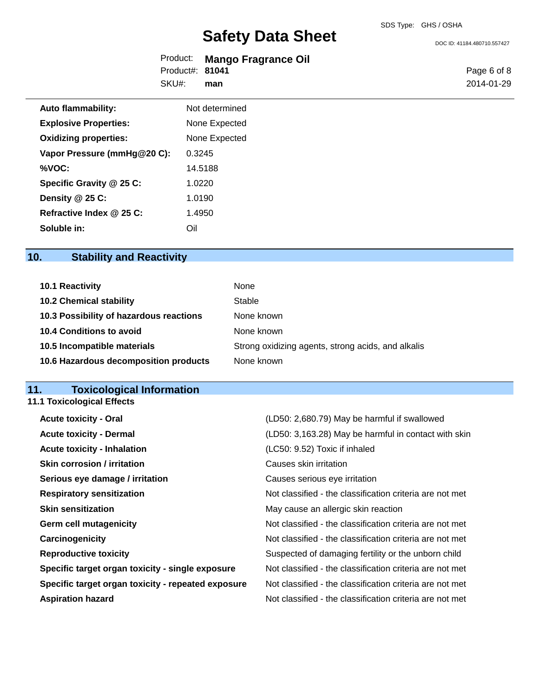DOC ID: 41184.480710.557427

|                 | Product: Mango Fragrance Oil |
|-----------------|------------------------------|
| Product#: 81041 |                              |
| SKU#:           | man                          |

Page 6 of 8 2014-01-29

| <b>Auto flammability:</b>    | Not determined |
|------------------------------|----------------|
| <b>Explosive Properties:</b> | None Expected  |
| <b>Oxidizing properties:</b> | None Expected  |
| Vapor Pressure (mmHg@20 C):  | 0.3245         |
| %VOC:                        | 14.5188        |
| Specific Gravity @ 25 C:     | 1.0220         |
| Density $@25C$ :             | 1.0190         |
| Refractive Index @ 25 C:     | 1.4950         |
| Soluble in:                  |                |

### **10. Stability and Reactivity**

| 10.1 Reactivity                         | None                                               |
|-----------------------------------------|----------------------------------------------------|
| <b>10.2 Chemical stability</b>          | Stable                                             |
| 10.3 Possibility of hazardous reactions | None known                                         |
| 10.4 Conditions to avoid                | None known                                         |
| 10.5 Incompatible materials             | Strong oxidizing agents, strong acids, and alkalis |
| 10.6 Hazardous decomposition products   | None known                                         |

#### **11. Toxicological Information**

**11.1 Toxicological Effects**

| <b>Acute toxicity - Oral</b>                       | (LD50: 2,680.79) May be harmful if swallowed             |
|----------------------------------------------------|----------------------------------------------------------|
| <b>Acute toxicity - Dermal</b>                     | (LD50: 3,163.28) May be harmful in contact with skin     |
| <b>Acute toxicity - Inhalation</b>                 | (LC50: 9.52) Toxic if inhaled                            |
| <b>Skin corrosion / irritation</b>                 | Causes skin irritation                                   |
| Serious eye damage / irritation                    | Causes serious eye irritation                            |
| <b>Respiratory sensitization</b>                   | Not classified - the classification criteria are not met |
| <b>Skin sensitization</b>                          | May cause an allergic skin reaction                      |
| <b>Germ cell mutagenicity</b>                      | Not classified - the classification criteria are not met |
| Carcinogenicity                                    | Not classified - the classification criteria are not met |
| <b>Reproductive toxicity</b>                       | Suspected of damaging fertility or the unborn child      |
| Specific target organ toxicity - single exposure   | Not classified - the classification criteria are not met |
| Specific target organ toxicity - repeated exposure | Not classified - the classification criteria are not met |
| <b>Aspiration hazard</b>                           | Not classified - the classification criteria are not met |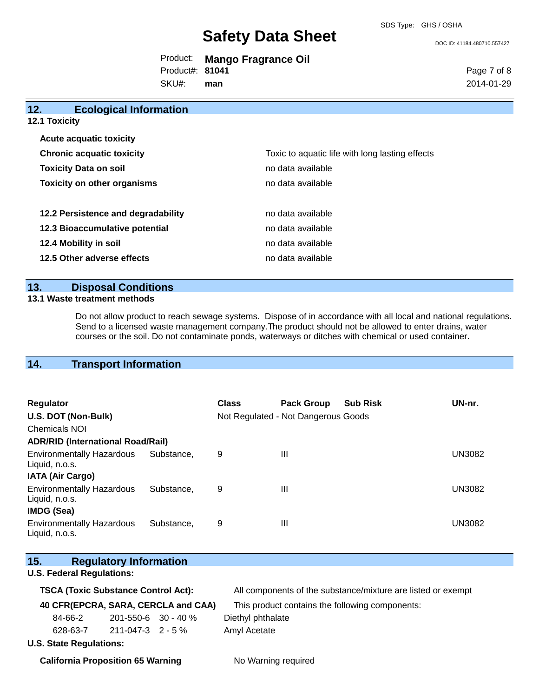DOC ID: 41184.480710.557427

|                        | Product: Mango Fragrance Oil |
|------------------------|------------------------------|
| Product#: <b>81041</b> |                              |

SKU#: **man** Page 7 of 8 2014-01-29

| 12.<br><b>Ecological Information</b> |                                                 |
|--------------------------------------|-------------------------------------------------|
| <b>12.1 Toxicity</b>                 |                                                 |
| <b>Acute acquatic toxicity</b>       |                                                 |
| <b>Chronic acquatic toxicity</b>     | Toxic to aquatic life with long lasting effects |
| <b>Toxicity Data on soil</b>         | no data available                               |
| <b>Toxicity on other organisms</b>   | no data available                               |
| 12.2 Persistence and degradability   | no data available                               |
| 12.3 Bioaccumulative potential       | no data available                               |
| 12.4 Mobility in soil                | no data available                               |
| 12.5 Other adverse effects           | no data available                               |

#### **13. Disposal Conditions**

#### **13.1 Waste treatment methods**

Do not allow product to reach sewage systems. Dispose of in accordance with all local and national regulations. Send to a licensed waste management company.The product should not be allowed to enter drains, water courses or the soil. Do not contaminate ponds, waterways or ditches with chemical or used container.

### **14. Transport Information**

| <b>Regulator</b><br>U.S. DOT (Non-Bulk)<br><b>Chemicals NOI</b>         |            | <b>Class</b> | <b>Pack Group</b><br>Not Regulated - Not Dangerous Goods | <b>Sub Risk</b> | UN-nr.        |
|-------------------------------------------------------------------------|------------|--------------|----------------------------------------------------------|-----------------|---------------|
| <b>ADR/RID (International Road/Rail)</b>                                |            |              |                                                          |                 |               |
| <b>Environmentally Hazardous</b><br>Liquid, n.o.s.                      | Substance. | 9            | Ш                                                        |                 | <b>UN3082</b> |
| <b>IATA (Air Cargo)</b>                                                 |            |              |                                                          |                 |               |
| <b>Environmentally Hazardous</b><br>Liquid, n.o.s.<br><b>IMDG (Sea)</b> | Substance. | 9            | Ш                                                        |                 | <b>UN3082</b> |
| <b>Environmentally Hazardous</b><br>Liquid, n.o.s.                      | Substance. | 9            | Ш                                                        |                 | <b>UN3082</b> |

| 15.                                      | <b>Regulatory Information</b>              |                         |                                                 |                                                              |
|------------------------------------------|--------------------------------------------|-------------------------|-------------------------------------------------|--------------------------------------------------------------|
| <b>U.S. Federal Regulations:</b>         |                                            |                         |                                                 |                                                              |
|                                          | <b>TSCA (Toxic Substance Control Act):</b> |                         |                                                 | All components of the substance/mixture are listed or exempt |
| 40 CFR(EPCRA, SARA, CERCLA and CAA)      |                                            |                         | This product contains the following components: |                                                              |
| 84-66-2                                  |                                            |                         | $201 - 550 - 6$ 30 - 40 %                       | Diethyl phthalate                                            |
|                                          | 628-63-7                                   | $211 - 047 - 3$ 2 - 5 % |                                                 | Amyl Acetate                                                 |
| <b>U.S. State Regulations:</b>           |                                            |                         |                                                 |                                                              |
| <b>California Proposition 65 Warning</b> |                                            |                         | No Warning required                             |                                                              |